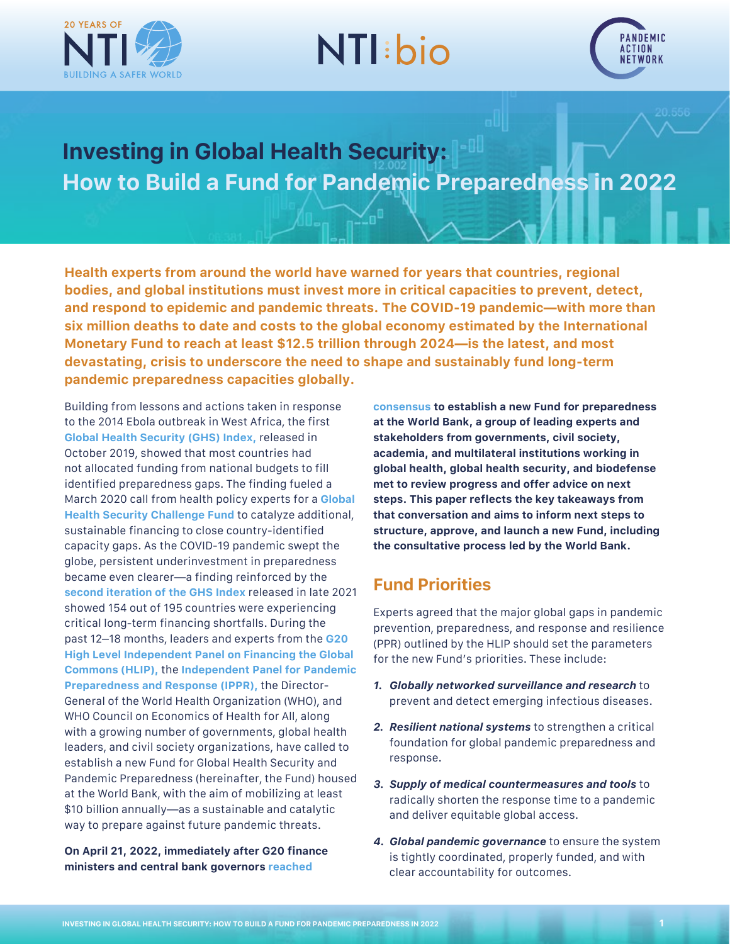

# **NTI:bio**



## **Investing in Global Health Security: How to Build a Fund for Pandemic Preparedness in 2022**

**Health experts from around the world have warned for years that countries, regional bodies, and global institutions must invest more in critical capacities to prevent, detect, and respond to epidemic and pandemic threats. The COVID-19 pandemic—with more than six million deaths to date and costs to the global economy estimated by the International Monetary Fund to reach at least \$12.5 trillion through 2024—is the latest, and most devastating, crisis to underscore the need to shape and sustainably fund long-term pandemic preparedness capacities globally.**

Building from lessons and actions taken in response to the 2014 Ebola outbreak in West Africa, the first **[Global Health Security \(GHS\) Index](http://www.ghsindex.org),** released in October 2019, showed that most countries had not allocated funding from national budgets to fill identified preparedness gaps. The finding fueled a March 2020 call from health policy experts for a **[Global](https://media.nti.org/documents/GHS_Challenge_Fund_Concept_Note_FINAL.PDF)  [Health Security Challenge Fund](https://media.nti.org/documents/GHS_Challenge_Fund_Concept_Note_FINAL.PDF)** to catalyze additional, sustainable financing to close country-identified capacity gaps. As the COVID-19 pandemic swept the globe, persistent underinvestment in preparedness became even clearer—a finding reinforced by the **[second iteration of the GHS Index](https://www.ghsindex.org/wp-content/uploads/2021/12/2021_GHSindexFullReport_Final.pdf)** released in [late 2021](https://www.ghsindex.org/) showed 154 out of 195 countries were experiencing critical long-term financing shortfalls. During the past 12–18 months, leaders and experts from the **[G20](https://pandemic-financing.org/wp-content/uploads/2021/07/G20-HLIP-Report.pdf)  [High Level Independent Panel on Financing the Global](https://pandemic-financing.org/wp-content/uploads/2021/07/G20-HLIP-Report.pdf)  [Commons](https://pandemic-financing.org/wp-content/uploads/2021/07/G20-HLIP-Report.pdf) [\(HLIP\),](https://pandemic-financing.org/wp-content/uploads/2021/07/G20-HLIP-Report.pdf)** the **[Independent Panel for Pandemic](https://theindependentpanel.org/mainreport/)  [Preparedness and Response](https://theindependentpanel.org/mainreport/) [\(IPPR\)](https://theindependentpanel.org/mainreport/),** the Director-General of the World Health Organization (WHO), and [WHO Council on Economics of Health for All](https://www.who.int/news/item/19-04-2022-delivering-on-the-g20-leaders-commitment-to-build-an-equitable-and-effective-financial-intermediary-fund-(fif)-for-pandemic-preparedness-and-response-(ppr)), along with a growing number of governments, global health leaders, and civil society organizations, have called to establish a new Fund for Global Health Security and Pandemic Preparedness (hereinafter, the Fund) housed at the World Bank, with the aim of mobilizing at least \$10 billion annually—as a sustainable and catalytic way to prepare against future pandemic threats.

**On April 21, 2022, immediately after G20 finance ministers and central bank governors [reached](https://g20.org/ministers-of-finance-and-governors-of-central-banks-of-g20-countries-work-together-on-solutions-on-the-current-global-economic-challenges/)** 

**[consensus](https://g20.org/ministers-of-finance-and-governors-of-central-banks-of-g20-countries-work-together-on-solutions-on-the-current-global-economic-challenges/) to establish a new Fund for preparedness at the World Bank, a group of leading experts and stakeholders from governments, civil society, academia, and multilateral institutions working in global health, global health security, and biodefense met to review progress and offer advice on next steps. This paper reflects the key takeaways from that conversation and aims to inform next steps to structure, approve, and launch a new Fund, including the consultative process led by the World Bank.**

#### **Fund Priorities**

Experts agreed that the major global gaps in pandemic prevention, preparedness, and response and resilience (PPR) outlined by the HLIP should set the parameters for the new Fund's priorities. These include:

- *1. Globally networked surveillance and research* to prevent and detect emerging infectious diseases.
- *2. Resilient national systems* to strengthen a critical foundation for global pandemic preparedness and response.
- *3. Supply of medical countermeasures and tools* to radically shorten the response time to a pandemic and deliver equitable global access.
- *4. Global pandemic governance* to ensure the system is tightly coordinated, properly funded, and with clear accountability for outcomes.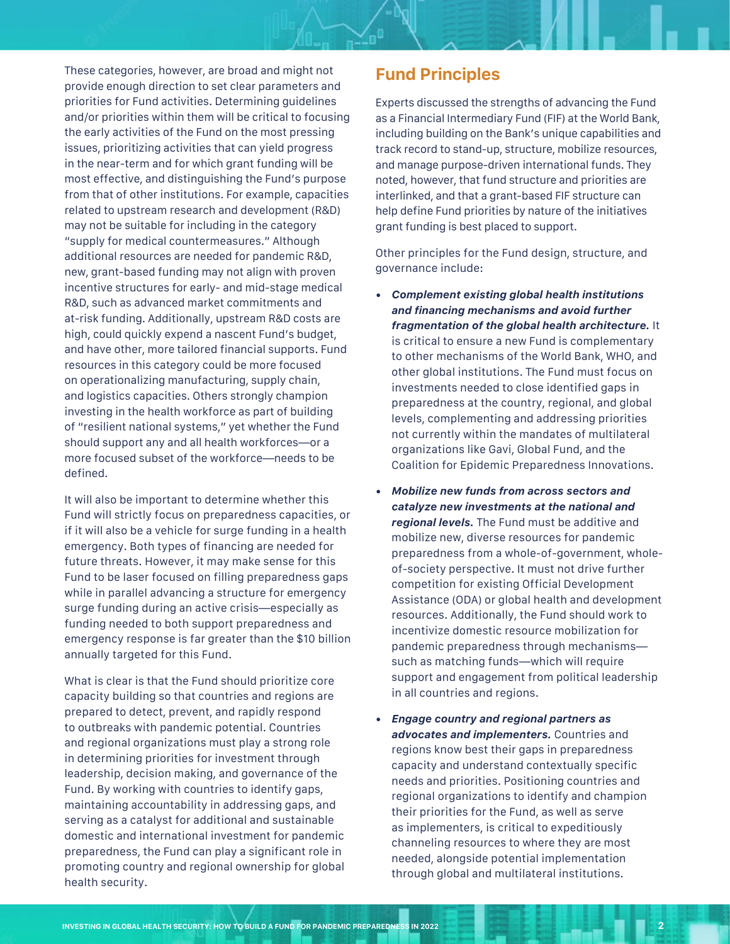These categories, however, are broad and might not provide enough direction to set clear parameters and priorities for Fund activities. Determining guidelines and/or priorities within them will be critical to focusing the early activities of the Fund on the most pressing issues, prioritizing activities that can yield progress in the near-term and for which grant funding will be most effective, and distinguishing the Fund's purpose from that of other institutions. For example, capacities related to upstream research and development (R&D) may not be suitable for including in the category "supply for medical countermeasures." Although additional resources are needed for pandemic R&D, new, grant-based funding may not align with proven incentive structures for early- and mid-stage medical R&D, such as advanced market commitments and at-risk funding. Additionally, upstream R&D costs are high, could quickly expend a nascent Fund's budget, and have other, more tailored financial supports. Fund resources in this category could be more focused on operationalizing manufacturing, supply chain, and logistics capacities. Others strongly champion investing in the health workforce as part of building of "resilient national systems," yet whether the Fund should support any and all health workforces—or a more focused subset of the workforce—needs to be defined.

It will also be important to determine whether this Fund will strictly focus on preparedness capacities, or if it will also be a vehicle for surge funding in a health emergency. Both types of financing are needed for future threats. However, it may make sense for this Fund to be laser focused on filling preparedness gaps while in parallel advancing a structure for emergency surge funding during an active crisis—especially as funding needed to both support preparedness and emergency response is far greater than the \$10 billion annually targeted for this Fund.

What is clear is that the Fund should prioritize core capacity building so that countries and regions are prepared to detect, prevent, and rapidly respond to outbreaks with pandemic potential. Countries and regional organizations must play a strong role in determining priorities for investment through leadership, decision making, and governance of the Fund. By working with countries to identify gaps, maintaining accountability in addressing gaps, and serving as a catalyst for additional and sustainable domestic and international investment for pandemic preparedness, the Fund can play a significant role in promoting country and regional ownership for global health security.

#### **Fund Principles**

Experts discussed the strengths of advancing the Fund as a Financial Intermediary Fund (FIF) at the World Bank, including building on the Bank's unique capabilities and track record to stand-up, structure, mobilize resources, and manage purpose-driven international funds. They noted, however, that fund structure and priorities are interlinked, and that a grant-based FIF structure can help define Fund priorities by nature of the initiatives grant funding is best placed to support.

Other principles for the Fund design, structure, and governance include:

- *• Complement existing global health institutions*  **and financing mechanisms and avoid further**  *fragmentation of the global health architecture.* It is critical to ensure a new Fund is complementary to other mechanisms of the World Bank, WHO, and other global institutions. The Fund must focus on investments needed to close identified gaps in preparedness at the country, regional, and global levels, complementing and addressing priorities not currently within the mandates of multilateral organizations like Gavi, Global Fund, and the Coalition for Epidemic Preparedness Innovations.
- *• Mobilize new funds from across sectors and catalyze new investments at the national and regional levels.* The Fund must be additive and mobilize new, diverse resources for pandemic preparedness from a whole-of-government, wholeof-society perspective. It must not drive further competition for existing Official Development Assistance (ODA) or global health and development resources. Additionally, the Fund should work to incentivize domestic resource mobilization for pandemic preparedness through mechanisms such as matching funds—which will require support and engagement from political leadership in all countries and regions.
- *• Engage country and regional partners as advocates and implementers.* Countries and regions know best their gaps in preparedness capacity and understand contextually specific needs and priorities. Positioning countries and regional organizations to identify and champion their priorities for the Fund, as well as serve as implementers, is critical to expeditiously channeling resources to where they are most needed, alongside potential implementation through global and multilateral institutions.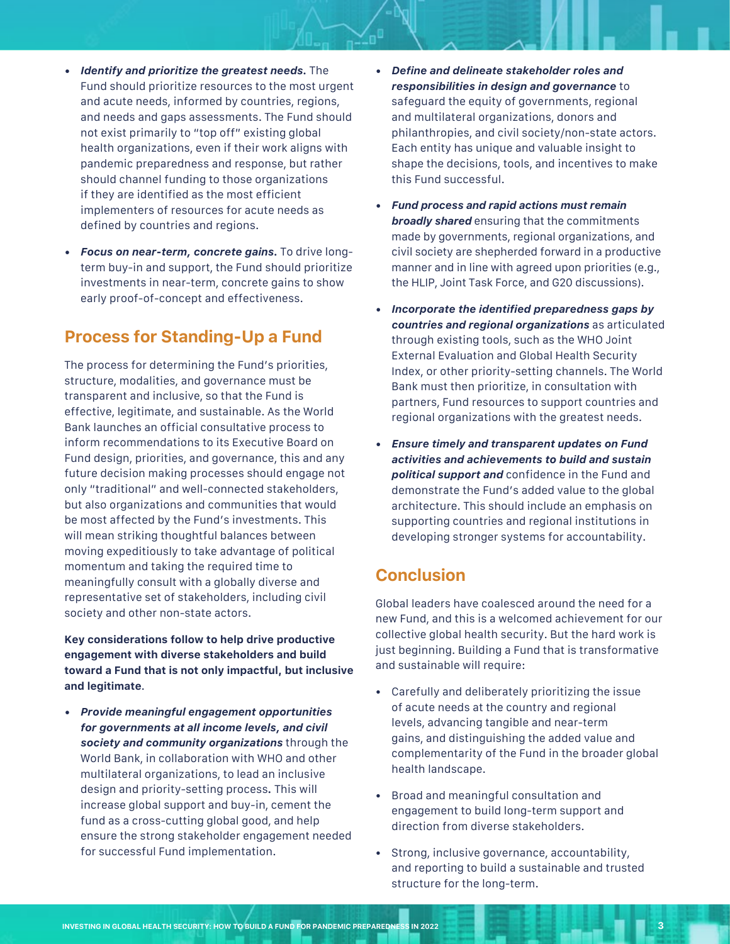- *• Identify and prioritize the greatest needs.* The Fund should prioritize resources to the most urgent and acute needs, informed by countries, regions, and needs and gaps assessments. The Fund should not exist primarily to "top off" existing global health organizations, even if their work aligns with pandemic preparedness and response, but rather should channel funding to those organizations if they are identified as the most efficient implementers of resources for acute needs as defined by countries and regions.
- *• Focus on near-term, concrete gains.* To drive longterm buy-in and support, the Fund should prioritize investments in near-term, concrete gains to show early proof-of-concept and effectiveness.

#### **Process for Standing-Up a Fund**

The process for determining the Fund's priorities, structure, modalities, and governance must be transparent and inclusive, so that the Fund is effective, legitimate, and sustainable. As the World Bank launches an official consultative process to inform recommendations to its Executive Board on Fund design, priorities, and governance, this and any future decision making processes should engage not only "traditional" and well-connected stakeholders, but also organizations and communities that would be most affected by the Fund's investments. This will mean striking thoughtful balances between moving expeditiously to take advantage of political momentum and taking the required time to meaningfully consult with a globally diverse and representative set of stakeholders, including civil society and other non-state actors.

**Key considerations follow to help drive productive engagement with diverse stakeholders and build toward a Fund that is not only impactful, but inclusive and legitimate**.

*• Provide meaningful engagement opportunities for governments at all income levels, and civil society and community organizations* through the World Bank, in collaboration with WHO and other multilateral organizations, to lead an inclusive design and priority-setting process*.* This will increase global support and buy-in, cement the fund as a cross-cutting global good, and help ensure the strong stakeholder engagement needed for successful Fund implementation.

- *•* **Define and delineate stakeholder roles and**  *responsibilities in design and governance* to safeguard the equity of governments, regional and multilateral organizations, donors and philanthropies, and civil society/non-state actors. Each entity has unique and valuable insight to shape the decisions, tools, and incentives to make this Fund successful.
- *• Fund process and rapid actions must remain broadly shared* ensuring that the commitments made by governments, regional organizations, and civil society are shepherded forward in a productive manner and in line with agreed upon priorities (e.g., the HLIP, Joint Task Force, and G20 discussions).
- *•* **Incorporate the identified preparedness gaps by**  *countries and regional organizations* as articulated through existing tools, such as the WHO Joint External Evaluation and Global Health Security Index, or other priority-setting channels. The World Bank must then prioritize, in consultation with partners, Fund resources to support countries and regional organizations with the greatest needs.
- *• Ensure timely and transparent updates on Fund activities and achievements to build and sustain political support and* confidence in the Fund and demonstrate the Fund's added value to the global architecture. This should include an emphasis on supporting countries and regional institutions in developing stronger systems for accountability.

#### **Conclusion**

Global leaders have coalesced around the need for a new Fund, and this is a welcomed achievement for our collective global health security. But the hard work is just beginning. Building a Fund that is transformative and sustainable will require:

- Carefully and deliberately prioritizing the issue of acute needs at the country and regional levels, advancing tangible and near-term gains, and distinguishing the added value and complementarity of the Fund in the broader global health landscape.
- Broad and meaningful consultation and engagement to build long-term support and direction from diverse stakeholders.
- Strong, inclusive governance, accountability, and reporting to build a sustainable and trusted structure for the long-term.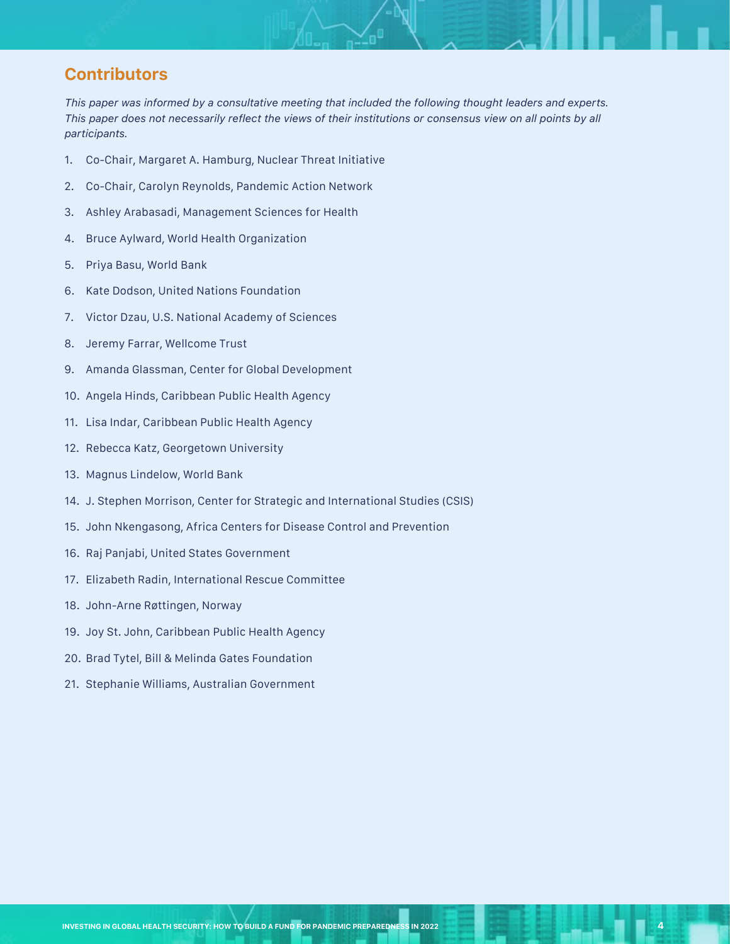### **Contributors**

*This paper was informed by a consultative meeting that included the following thought leaders and experts.*  This paper does not necessarily reflect the views of their institutions or consensus view on all points by all *participants.*

- 1. Co-Chair, Margaret A. Hamburg, Nuclear Threat Initiative
- 2. Co-Chair, Carolyn Reynolds, Pandemic Action Network
- 3. Ashley Arabasadi, Management Sciences for Health
- 4. Bruce Aylward, World Health Organization
- 5. Priya Basu, World Bank
- 6. Kate Dodson, United Nations Foundation
- 7. Victor Dzau, U.S. National Academy of Sciences
- 8. Jeremy Farrar, Wellcome Trust
- 9. Amanda Glassman, Center for Global Development
- 10. Angela Hinds, Caribbean Public Health Agency
- 11. Lisa Indar, Caribbean Public Health Agency
- 12. Rebecca Katz, Georgetown University
- 13. Magnus Lindelow, World Bank
- 14. J. Stephen Morrison, Center for Strategic and International Studies (CSIS)
- 15. John Nkengasong, Africa Centers for Disease Control and Prevention
- 16. Raj Panjabi, United States Government
- 17. Elizabeth Radin, International Rescue Committee
- 18. John-Arne Røttingen, Norway
- 19. Joy St. John, Caribbean Public Health Agency
- 20. Brad Tytel, Bill & Melinda Gates Foundation
- 21. Stephanie Williams, Australian Government